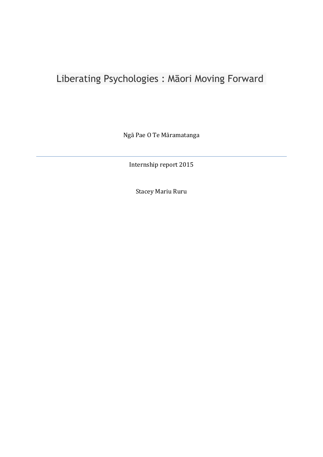# Liberating Psychologies : Māori Moving Forward

Ngā Pae O Te Māramatanga

Internship report 2015

Stacey Mariu Ruru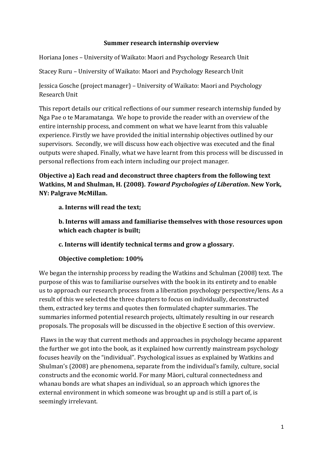## **Summer research internship overview**

Horiana Jones – University of Waikato: Maori and Psychology Research Unit

Stacey Ruru – University of Waikato: Maori and Psychology Research Unit

Jessica Gosche (project manager) – University of Waikato: Maori and Psychology Research Unit

This report details our critical reflections of our summer research internship funded by Nga Pae o te Maramatanga. We hope to provide the reader with an overview of the entire internship process, and comment on what we have learnt from this valuable experience. Firstly we have provided the initial internship objectives outlined by our supervisors. Secondly, we will discuss how each objective was executed and the final outputs were shaped. Finally, what we have learnt from this process will be discussed in personal reflections from each intern including our project manager.

**Objective a) Each read and deconstruct three chapters from the following text Watkins, M and Shulman, H. (2008).** *Toward Psychologies of Liberation***. New York, NY: Palgrave McMillan.**

**a. Interns will read the text;**

**b. Interns will amass and familiarise themselves with those resources upon which each chapter is built;**

**c. Interns will identify technical terms and grow a glossary.**

## **Objective completion: 100%**

We began the internship process by reading the Watkins and Schulman (2008) text. The purpose of this was to familiarise ourselves with the book in its entirety and to enable us to approach our research process from a liberation psychology perspective/lens. As a result of this we selected the three chapters to focus on individually, deconstructed them, extracted key terms and quotes then formulated chapter summaries. The summaries informed potential research projects, ultimately resulting in our research proposals. The proposals will be discussed in the objective E section of this overview.

Flaws in the way that current methods and approaches in psychology became apparent the further we got into the book, as it explained how currently mainstream psychology focuses heavily on the "individual". Psychological issues as explained by Watkins and Shulman's (2008) are phenomena, separate from the individual's family, culture, social constructs and the economic world. For many Māori, cultural connectedness and whanau bonds are what shapes an individual, so an approach which ignores the external environment in which someone was brought up and is still a part of, is seemingly irrelevant.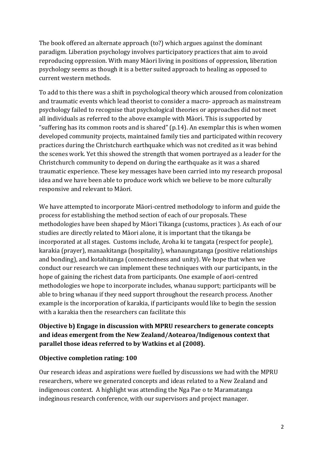The book offered an alternate approach (to?) which argues against the dominant paradigm. Liberation psychology involves participatory practices that aim to avoid reproducing oppression. With many Māori living in positions of oppression, liberation psychology seems as though it is a better suited approach to healing as opposed to current western methods.

To add to this there was a shift in psychological theory which aroused from colonization and traumatic events which lead theorist to consider a macro- approach as mainstream psychology failed to recognise that psychological theories or approaches did not meet all individuals as referred to the above example with Māori. This is supported by "suffering has its common roots and is shared" (p.14). An exemplar this is when women developed community projects, maintained family ties and participated within recovery practices during the Christchurch earthquake which was not credited as it was behind the scenes work. Yet this showed the strength that women portrayed as a leader for the Christchurch community to depend on during the earthquake as it was a shared traumatic experience. These key messages have been carried into my research proposal idea and we have been able to produce work which we believe to be more culturally responsive and relevant to Māori.

We have attempted to incorporate Māori-centred methodology to inform and guide the process for establishing the method section of each of our proposals. These methodologies have been shaped by Māori Tikanga (customs, practices ). As each of our studies are directly related to Māori alone, it is important that the tikanga be incorporated at all stages. Customs include, Aroha ki te tangata (respect for people), karakia (prayer), manaakitanga (hospitality), whanaungatanga (positive relationships and bonding), and kotahitanga (connectedness and unity). We hope that when we conduct our research we can implement these techniques with our participants, in the hope of gaining the richest data from participants. One example of aori-centred methodologies we hope to incorporate includes, whanau support; participants will be able to bring whanau if they need support throughout the research process. Another example is the incorporation of karakia, if participants would like to begin the session with a karakia then the researchers can facilitate this

# **Objective b) Engage in discussion with MPRU researchers to generate concepts and ideas emergent from the New Zealand/Aotearoa/Indigenous context that parallel those ideas referred to by Watkins et al (2008).**

## **Objective completion rating: 100**

Our research ideas and aspirations were fuelled by discussions we had with the MPRU researchers, where we generated concepts and ideas related to a New Zealand and indigenous context. A highlight was attending the Nga Pae o te Maramatanga indeginous research conference, with our supervisors and project manager.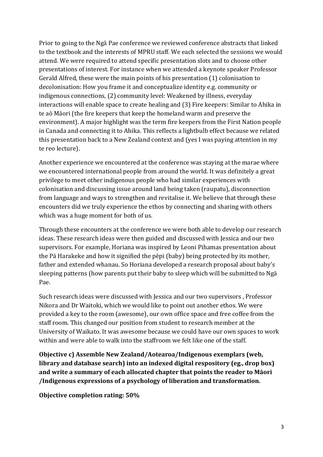Prior to going to the Ngā Pae conference we reviewed conference abstracts that linked to the textbook and the interests of MPRU staff. We each selected the sessions we would attend. We were required to attend specific presentation slots and to choose other presentations of interest. For instance when we attended a keynote speaker Professor Gerald Alfred, these were the main points of his presentation (1) colonisation to decolonisation: How you frame it and conceptualize identity e.g. community or indigenous connections, (2) community level: Weakened by illness, everyday interactions will enable space to create healing and (3) Fire keepers: Similar to Ahika in te aō Māori (the fire keepers that keep the homeland warm and preserve the environment). A major highlight was the term fire keepers from the First Nation people in Canada and connecting it to Ahika. This reflects a lightbulb effect because we related this presentation back to a New Zealand context and (yes I was paying attention in my te reo lecture).

Another experience we encountered at the conference was staying at the marae where we encountered international people from around the world. It was definitely a great privilege to meet other indigenous people who had similar experiences with colonisation and discussing issue around land being taken (raupatu), disconnection from language and ways to strengthen and revitalise it. We believe that through these encounters did we truly experience the ethos by connecting and sharing with others which was a huge moment for both of us.

Through these encounters at the conference we were both able to develop our research ideas. These research ideas were then guided and discussed with Jessica and our two supervisors. For example, Horiana was inspired by Leoni Pihamas presentation about the Pā Harakeke and how it signified the pēpi (baby) being protected by its mother, father and extended whanau. So Horiana developed a research proposal about baby's sleeping patterns (how parents put their baby to sleep which will be submitted to Ngā Pae.

Such research ideas were discussed with Jessica and our two supervisors , Professor Nikora and Dr Waitoki, which we would like to point out another ethos. We were provided a key to the room (awesome), our own office space and free coffee from the staff room. This changed our position from student to research member at the University of Waikato. It was awesome because we could have our own spaces to work within and were able to walk into the staffroom we felt like one of the staff.

**Objective c) Assemble New Zealand/Aotearoa/Indigenous exemplars (web, library and database search) into an indexed digital respository (eg., drop box) and write a summary of each allocated chapter that points the reader to Māori /Indigenous expressions of a psychology of liberation and transformation.**

**Objective completion rating: 50%**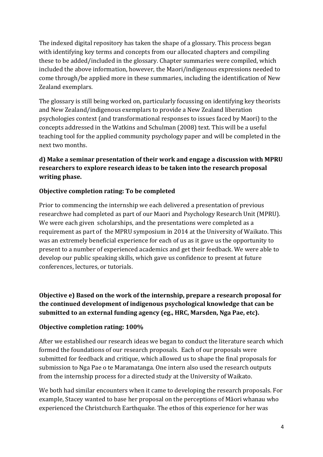The indexed digital repository has taken the shape of a glossary. This process began with identifying key terms and concepts from our allocated chapters and compiling these to be added/included in the glossary. Chapter summaries were compiled, which included the above information, however, the Maori/indigenous expressions needed to come through/be applied more in these summaries, including the identification of New Zealand exemplars.

The glossary is still being worked on, particularly focussing on identifying key theorists and New Zealand/indigenous exemplars to provide a New Zealand liberation psychologies context (and transformational responses to issues faced by Maori) to the concepts addressed in the Watkins and Schulman (2008) text. This will be a useful teaching tool for the applied community psychology paper and will be completed in the next two months.

# **d) Make a seminar presentation of their work and engage a discussion with MPRU researchers to explore research ideas to be taken into the research proposal writing phase.**

# **Objective completion rating: To be completed**

Prior to commencing the internship we each delivered a presentation of previous researchwe had completed as part of our Maori and Psychology Research Unit (MPRU). We were each given scholarships, and the presentations were completed as a requirement as part of the MPRU symposium in 2014 at the University of Waikato. This was an extremely beneficial experience for each of us as it gave us the opportunity to present to a number of experienced academics and get their feedback. We were able to develop our public speaking skills, which gave us confidence to present at future conferences, lectures, or tutorials.

**Objective e) Based on the work of the internship, prepare a research proposal for the continued development of indigenous psychological knowledge that can be submitted to an external funding agency (eg., HRC, Marsden, Nga Pae, etc).**

## **Objective completion rating: 100%**

After we established our research ideas we began to conduct the literature search which formed the foundations of our research proposals. Each of our proposals were submitted for feedback and critique, which allowed us to shape the final proposals for submission to Nga Pae o te Maramatanga. One intern also used the research outputs from the internship process for a directed study at the University of Waikato.

We both had similar encounters when it came to developing the research proposals. For example, Stacey wanted to base her proposal on the perceptions of Māori whanau who experienced the Christchurch Earthquake. The ethos of this experience for her was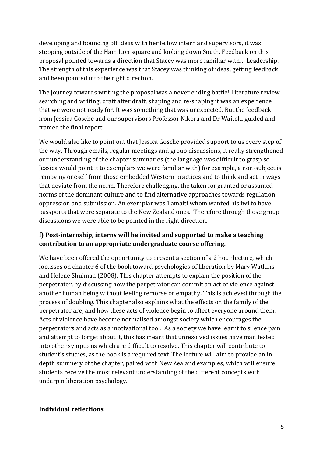developing and bouncing off ideas with her fellow intern and supervisors, it was stepping outside of the Hamilton square and looking down South. Feedback on this proposal pointed towards a direction that Stacey was more familiar with… Leadership. The strength of this experience was that Stacey was thinking of ideas, getting feedback and been pointed into the right direction.

The journey towards writing the proposal was a never ending battle! Literature review searching and writing, draft after draft, shaping and re-shaping it was an experience that we were not ready for. It was something that was unexpected. But the feedback from Jessica Gosche and our supervisors Professor Nikora and Dr Waitoki guided and framed the final report.

We would also like to point out that Jessica Gosche provided support to us every step of the way. Through emails, regular meetings and group discussions, it really strengthened our understanding of the chapter summaries (the language was difficult to grasp so Jessica would point it to exemplars we were familiar with) for example, a non-subject is removing oneself from those embedded Western practices and to think and act in ways that deviate from the norm. Therefore challenging, the taken for granted or assumed norms of the dominant culture and to find alternative approaches towards regulation, oppression and submission. An exemplar was Tamaiti whom wanted his iwi to have passports that were separate to the New Zealand ones. Therefore through those group discussions we were able to be pointed in the right direction.

# **f) Post-internship, interns will be invited and supported to make a teaching contribution to an appropriate undergraduate course offering.**

We have been offered the opportunity to present a section of a 2 hour lecture, which focusses on chapter 6 of the book toward psychologies of liberation by Mary Watkins and Helene Shulman (2008). This chapter attempts to explain the position of the perpetrator, by discussing how the perpetrator can commit an act of violence against another human being without feeling remorse or empathy. This is achieved through the process of doubling. This chapter also explains what the effects on the family of the perpetrator are, and how these acts of violence begin to affect everyone around them. Acts of violence have become normalised amongst society which encourages the perpetrators and acts as a motivational tool. As a society we have learnt to silence pain and attempt to forget about it, this has meant that unresolved issues have manifested into other symptoms which are difficult to resolve. This chapter will contribute to student's studies, as the book is a required text. The lecture will aim to provide an in depth summery of the chapter, paired with New Zealand examples, which will ensure students receive the most relevant understanding of the different concepts with underpin liberation psychology.

## **Individual reflections**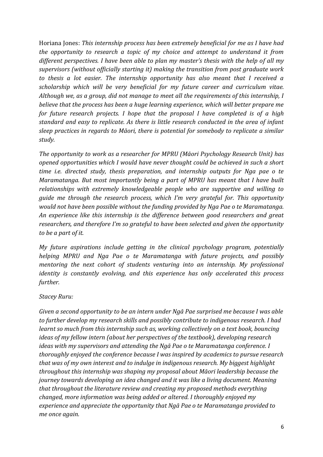Horiana Jones: *This internship process has been extremely beneficial for me as I have had the opportunity to research a topic of my choice and attempt to understand it from different perspectives. I have been able to plan my master's thesis with the help of all my supervisors (without officially starting it) making the transition from post graduate work to thesis a lot easier. The internship opportunity has also meant that I received a scholarship which will be very beneficial for my future career and curriculum vitae. Although we, as a group, did not manage to meet all the requirements of this internship, I believe that the process has been a huge learning experience, which will better prepare me for future research projects. I hope that the proposal I have completed is of a high standard and easy to replicate. As there is little research conducted in the area of infant sleep practices in regards to Māori, there is potential for somebody to replicate a similar study.*

*The opportunity to work as a researcher for MPRU (Māori Psychology Research Unit) has opened opportunities which I would have never thought could be achieved in such a short time i.e. directed study, thesis preparation, and internship outputs for Nga pae o te Maramatanga. But most importantly being a part of MPRU has meant that I have built relationships with extremely knowledgeable people who are supportive and willing to guide me through the research process, which I'm very grateful for. This opportunity would not have been possible without the funding provided by Nga Pae o te Maramatanga. An experience like this internship is the difference between good researchers and great researchers, and therefore I'm so grateful to have been selected and given the opportunity to be a part of it.* 

*My future aspirations include getting in the clinical psychology program, potentially helping MPRU and Nga Pae o te Maramatanga with future projects, and possibly mentoring the next cohort of students venturing into an internship. My professional identity is constantly evolving, and this experience has only accelerated this process further.* 

## *Stacey Ruru:*

*Given a second opportunity to be an intern under Ngā Pae surprised me because I was able to further develop my research skills and possibly contribute to indigenous research. I had learnt so much from this internship such as, working collectively on a text book, bouncing ideas of my fellow intern (about her perspectives of the textbook), developing research ideas with my supervisors and attending the Ngā Pae o te Maramatanga conference. I thoroughly enjoyed the conference because I was inspired by academics to pursue research that was of my own interest and to indulge in indigenous research. My biggest highlight throughout this internship was shaping my proposal about Māori leadership because the journey towards developing an idea changed and it was like a living document. Meaning that throughout the literature review and creating my proposed methods everything changed, more information was being added or altered. I thoroughly enjoyed my experience and appreciate the opportunity that Ngā Pae o te Maramatanga provided to me once again.*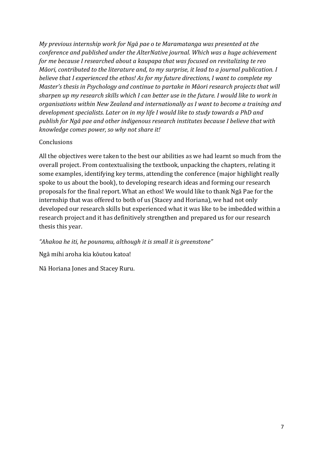*My previous internship work for Ngā pae o te Maramatanga was presented at the conference and published under the AlterNative journal. Which was a huge achievement for me because I researched about a kaupapa that was focused on revitalizing te reo Māori, contributed to the literature and, to my surprise, it lead to a journal publication. I believe that I experienced the ethos! As for my future directions, I want to complete my Master's thesis in Psychology and continue to partake in Māori research projects that will sharpen up my research skills which I can better use in the future. I would like to work in organisations within New Zealand and internationally as I want to become a training and development specialists. Later on in my life I would like to study towards a PhD and publish for Ngā pae and other indigenous research institutes because I believe that with knowledge comes power, so why not share it!*

## **Conclusions**

All the objectives were taken to the best our abilities as we had learnt so much from the overall project. From contextualising the textbook, unpacking the chapters, relating it some examples, identifying key terms, attending the conference (major highlight really spoke to us about the book), to developing research ideas and forming our research proposals for the final report. What an ethos! We would like to thank Ngā Pae for the internship that was offered to both of us (Stacey and Horiana), we had not only developed our research skills but experienced what it was like to be imbedded within a research project and it has definitively strengthen and prepared us for our research thesis this year.

*"Ahakoa he iti, he pounamu, although it is small it is greenstone"*

Ngā mihi aroha kia kōutou katoa!

Nā Horiana Jones and Stacey Ruru.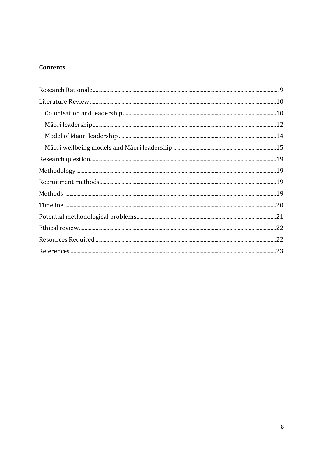# **Contents**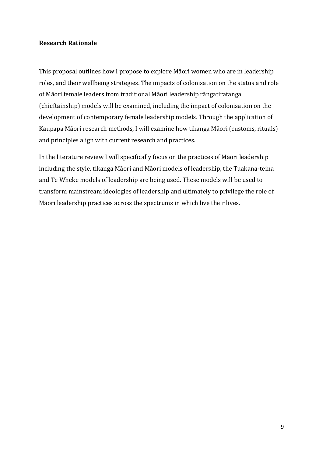## <span id="page-9-0"></span>**Research Rationale**

This proposal outlines how I propose to explore Māori women who are in leadership roles, and their wellbeing strategies. The impacts of colonisation on the status and role of Māori female leaders from traditional Māori leadership rāngatiratanga (chieftainship) models will be examined, including the impact of colonisation on the development of contemporary female leadership models. Through the application of Kaupapa Māori research methods, I will examine how tikanga Māori (customs, rituals) and principles align with current research and practices.

In the literature review I will specifically focus on the practices of Māori leadership including the style, tikanga Māori and Māori models of leadership, the Tuakana-teina and Te Wheke models of leadership are being used. These models will be used to transform mainstream ideologies of leadership and ultimately to privilege the role of Māori leadership practices across the spectrums in which live their lives.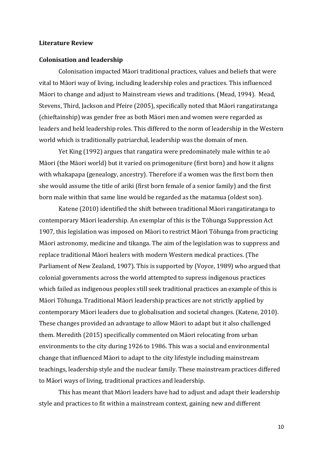#### <span id="page-10-0"></span>**Literature Review**

#### <span id="page-10-1"></span>**Colonisation and leadership**

Colonisation impacted Māori traditional practices, values and beliefs that were vital to Māori way of living, including leadership roles and practices. This influenced Māori to change and adjust to Mainstream views and traditions. (Mead, 1994). Mead, Stevens, Third, Jackson and Pfeire (2005), specifically noted that Māori rangatiratanga (chieftainship) was gender free as both Māori men and women were regarded as leaders and held leadership roles. This differed to the norm of leadership in the Western world which is traditionally patriarchal, leadership was the domain of men.

Yet King (1992) argues that rangatira were predominately male within te aō Māori (the Māori world) but it varied on primogeniture (first born) and how it aligns with whakapapa (genealogy, ancestry). Therefore if a women was the first born then she would assume the title of ariki (first born female of a senior family) and the first born male within that same line would be regarded as the matamua (oldest son).

Katene (2010) identified the shift between traditional Māori rangatiratanga to contemporary Māori leadership. An exemplar of this is the Tōhunga Suppression Act 1907, this legislation was imposed on Māori to restrict Māori Tōhunga from practicing Māori astronomy, medicine and tikanga. The aim of the legislation was to suppress and replace traditional Māori healers with modern Western medical practices. (The Parliament of New Zealand, 1907). This is supported by (Voyce, 1989) who argued that colonial governments across the world attempted to supress indigenous practices which failed as indigenous peoples still seek traditional practices an example of this is Māori Tōhunga. Traditional Māori leadership practices are not strictly applied by contemporary Māori leaders due to globalisation and societal changes. (Katene, 2010). These changes provided an advantage to allow Māori to adapt but it also challenged them. Meredith (2015) specifically commented on Māori relocating from urban environments to the city during 1926 to 1986. This was a social and environmental change that influenced Māori to adapt to the city lifestyle including mainstream teachings, leadership style and the nuclear family. These mainstream practices differed to Māori ways of living, traditional practices and leadership.

This has meant that Māori leaders have had to adjust and adapt their leadership style and practices to fit within a mainstream context, gaining new and different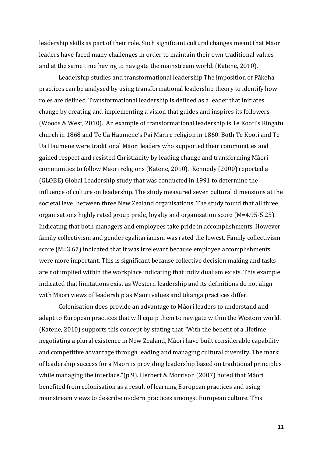leadership skills as part of their role. Such significant cultural changes meant that Māori leaders have faced many challenges in order to maintain their own traditional values and at the same time having to navigate the mainstream world. (Katene, 2010).

Leadership studies and transformational leadership The imposition of Pākeha practices can be analysed by using transformational leadership theory to identify how roles are defined. Transformational leadership is defined as a leader that initiates change by creating and implementing a vision that guides and inspires its followers (Woods & West, 2010). An example of transformational leadership is Te Kooti's Ringatu church in 1868 and Te Ua Haumene's Pai Marire religion in 1860. Both Te Kooti and Te Ua Haumene were traditional Māori leaders who supported their communities and gained respect and resisted Christianity by leading change and transforming Māori communities to follow Māori religions (Katene, 2010). Kennedy (2000) reported a (GLOBE) Global Leadership study that was conducted in 1991 to determine the influence of culture on leadership. The study measured seven cultural dimensions at the societal level between three New Zealand organisations. The study found that all three organisations highly rated group pride, loyalty and organisation score (M=4.95-5.25). Indicating that both managers and employees take pride in accomplishments. However family collectivism and gender egalitarianism was rated the lowest. Family collectivism score (M=3.67) indicated that it was irrelevant because employee accomplishments were more important. This is significant because collective decision making and tasks are not implied within the workplace indicating that individualism exists. This example indicated that limitations exist as Western leadership and its definitions do not align with Māori views of leadership as Māori values and tikanga practices differ.

Colonisation does provide an advantage to Māori leaders to understand and adapt to European practices that will equip them to navigate within the Western world. (Katene, 2010) supports this concept by stating that "With the benefit of a lifetime negotiating a plural existence in New Zealand, Māori have built considerable capability and competitive advantage through leading and managing cultural diversity. The mark of leadership success for a Māori is providing leadership based on traditional principles while managing the interface."(p.9). Herbert & Morrison (2007) noted that Māori benefited from colonisation as a result of learning European practices and using mainstream views to describe modern practices amongst European culture. This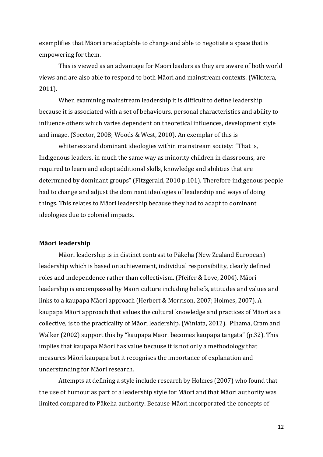exemplifies that Māori are adaptable to change and able to negotiate a space that is empowering for them.

This is viewed as an advantage for Māori leaders as they are aware of both world views and are also able to respond to both Māori and mainstream contexts. (Wikitera, 2011).

When examining mainstream leadership it is difficult to define leadership because it is associated with a set of behaviours, personal characteristics and ability to influence others which varies dependent on theoretical influences, development style and image. (Spector, 2008; Woods & West, 2010). An exemplar of this is

whiteness and dominant ideologies within mainstream society: "That is, Indigenous leaders, in much the same way as minority children in classrooms, are required to learn and adopt additional skills, knowledge and abilities that are determined by dominant groups" (Fitzgerald, 2010 p.101). Therefore indigenous people had to change and adjust the dominant ideologies of leadership and ways of doing things. This relates to Māori leadership because they had to adapt to dominant ideologies due to colonial impacts.

#### <span id="page-12-0"></span>**Māori leadership**

Māori leadership is in distinct contrast to Pākeha (New Zealand European) leadership which is based on achievement, individual responsibility, clearly defined roles and independence rather than collectivism. (Pfeifer & Love, 2004). Māori leadership is encompassed by Māori culture including beliefs, attitudes and values and links to a kaupapa Māori approach (Herbert & Morrison, 2007; Holmes, 2007). A kaupapa Māori approach that values the cultural knowledge and practices of Māori as a collective, is to the practicality of Māori leadership. (Winiata, 2012). Pihama, Cram and Walker (2002) support this by "kaupapa Māori becomes kaupapa tangata" (p.32). This implies that kaupapa Māori has value because it is not only a methodology that measures Māori kaupapa but it recognises the importance of explanation and understanding for Māori research.

Attempts at defining a style include research by Holmes (2007) who found that the use of humour as part of a leadership style for Māori and that Māori authority was limited compared to Pākeha authority. Because Māori incorporated the concepts of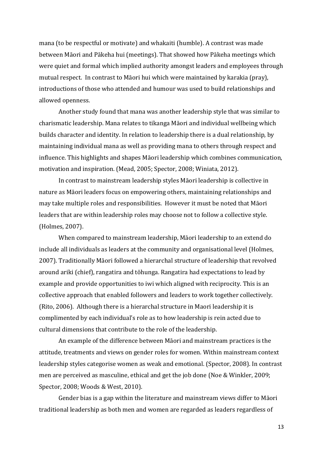mana (to be respectful or motivate) and whakaiti (humble). A contrast was made between Māori and Pākeha hui (meetings). That showed how Pākeha meetings which were quiet and formal which implied authority amongst leaders and employees through mutual respect. In contrast to Māori hui which were maintained by karakia (pray), introductions of those who attended and humour was used to build relationships and allowed openness.

Another study found that mana was another leadership style that was similar to charismatic leadership. Mana relates to tikanga Māori and individual wellbeing which builds character and identity. In relation to leadership there is a dual relationship, by maintaining individual mana as well as providing mana to others through respect and influence. This highlights and shapes Māori leadership which combines communication, motivation and inspiration. (Mead, 2005; Spector, 2008; Winiata, 2012).

In contrast to mainstream leadership styles Māori leadership is collective in nature as Māori leaders focus on empowering others, maintaining relationships and may take multiple roles and responsibilities. However it must be noted that Māori leaders that are within leadership roles may choose not to follow a collective style. (Holmes, 2007).

When compared to mainstream leadership, Māori leadership to an extend do include all individuals as leaders at the community and organisational level (Holmes, 2007). Traditionally Māori followed a hierarchal structure of leadership that revolved around ariki (chief), rangatira and tōhunga. Rangatira had expectations to lead by example and provide opportunities to iwi which aligned with reciprocity. This is an collective approach that enabled followers and leaders to work together collectively. (Rito, 2006). Although there is a hierarchal structure in Maori leadership it is complimented by each individual's role as to how leadership is rein acted due to cultural dimensions that contribute to the role of the leadership.

An example of the difference between Māori and mainstream practices is the attitude, treatments and views on gender roles for women. Within mainstream context leadership styles categorise women as weak and emotional. (Spector, 2008). In contrast men are perceived as masculine, ethical and get the job done (Noe & Winkler, 2009; Spector, 2008; Woods & West, 2010).

Gender bias is a gap within the literature and mainstream views differ to Māori traditional leadership as both men and women are regarded as leaders regardless of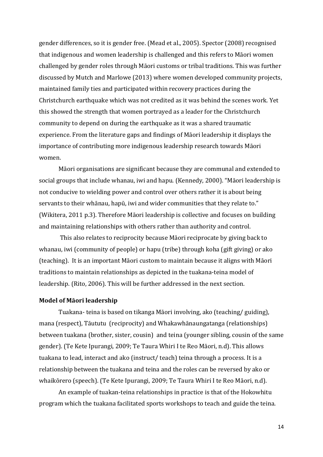gender differences, so it is gender free. (Mead et al., 2005). Spector (2008) recognised that indigenous and women leadership is challenged and this refers to Māori women challenged by gender roles through Māori customs or tribal traditions. This was further discussed by Mutch and Marlowe (2013) where women developed community projects, maintained family ties and participated within recovery practices during the Christchurch earthquake which was not credited as it was behind the scenes work. Yet this showed the strength that women portrayed as a leader for the Christchurch community to depend on during the earthquake as it was a shared traumatic experience. From the literature gaps and findings of Māori leadership it displays the importance of contributing more indigenous leadership research towards Māori women.

Māori organisations are significant because they are communal and extended to social groups that include whanau, iwi and hapu. (Kennedy, 2000). "Māori leadership is not conducive to wielding power and control over others rather it is about being servants to their whānau, hapū, iwi and wider communities that they relate to." (Wikitera, 2011 p.3). Therefore Māori leadership is collective and focuses on building and maintaining relationships with others rather than authority and control.

This also relates to reciprocity because Māori reciprocate by giving back to whanau, iwi (community of people) or hapu (tribe) through koha (gift giving) or ako (teaching). It is an important Māori custom to maintain because it aligns with Māori traditions to maintain relationships as depicted in the tuakana-teina model of leadership. (Rito, 2006). This will be further addressed in the next section.

#### <span id="page-14-0"></span>**Model of Māori leadership**

Tuakana- teina is based on tikanga Māori involving, ako (teaching/ guiding), mana (respect), Tāututu (reciprocity) and Whakawhānaungatanga (relationships) between tuakana (brother, sister, cousin) and teina (younger sibling, cousin of the same gender). (Te Kete Ipurangi, 2009; Te Taura Whiri I te Reo Māori, n.d). This allows tuakana to lead, interact and ako (instruct/ teach) teina through a process. It is a relationship between the tuakana and teina and the roles can be reversed by ako or whaikōrero (speech). (Te Kete Ipurangi, 2009; Te Taura Whiri I te Reo Māori, n.d).

An example of tuakan-teina relationships in practice is that of the Hokowhitu program which the tuakana facilitated sports workshops to teach and guide the teina.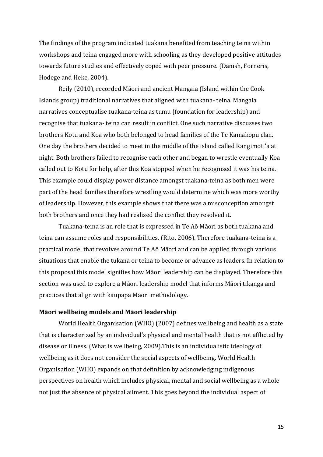The findings of the program indicated tuakana benefited from teaching teina within workshops and teina engaged more with schooling as they developed positive attitudes towards future studies and effectively coped with peer pressure. (Danish, Forneris, Hodege and Heke, 2004).

Reily (2010), recorded Māori and ancient Mangaia (Island within the Cook Islands group) traditional narratives that aligned with tuakana- teina. Mangaia narratives conceptualise tuakana-teina as tumu (foundation for leadership) and recognise that tuakana- teina can result in conflict. One such narrative discusses two brothers Kotu and Koa who both belonged to head families of the Te Kamakopu clan. One day the brothers decided to meet in the middle of the island called Rangimoti'a at night. Both brothers failed to recognise each other and began to wrestle eventually Koa called out to Kotu for help, after this Koa stopped when he recognised it was his teina. This example could display power distance amongst tuakana-teina as both men were part of the head families therefore wrestling would determine which was more worthy of leadership. However, this example shows that there was a misconception amongst both brothers and once they had realised the conflict they resolved it.

Tuakana-teina is an role that is expressed in Te Aō Māori as both tuakana and teina can assume roles and responsibilities. (Rito, 2006). Therefore tuakana-teina is a practical model that revolves around Te Aō Māori and can be applied through various situations that enable the tukana or teina to become or advance as leaders. In relation to this proposal this model signifies how Māori leadership can be displayed. Therefore this section was used to explore a Māori leadership model that informs Māori tikanga and practices that align with kaupapa Māori methodology.

#### <span id="page-15-0"></span>**Māori wellbeing models and Māori leadership**

World Health Organisation (WHO) (2007) defines wellbeing and health as a state that is characterized by an individual's physical and mental health that is not afflicted by disease or illness. (What is wellbeing, 2009).This is an individualistic ideology of wellbeing as it does not consider the social aspects of wellbeing. World Health Organisation (WHO) expands on that definition by acknowledging indigenous perspectives on health which includes physical, mental and social wellbeing as a whole not just the absence of physical ailment. This goes beyond the individual aspect of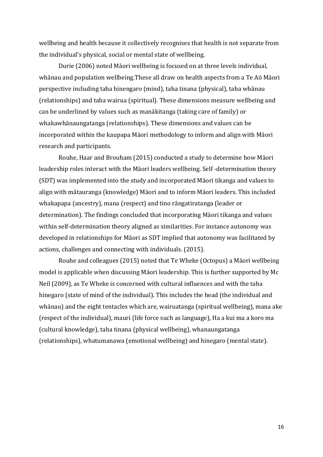wellbeing and health because it collectively recognises that health is not separate from the individual's physical, social or mental state of wellbeing.

Durie (2006) noted Māori wellbeing is focused on at three levels individual, whānau and population wellbeing.These all draw on health aspects from a Te Aō Māori perspective including taha hinengaro (mind), taha tinana (physical), taha whānau (relationships) and taha wairua (spiritual). These dimensions measure wellbeing and can be underlined by values such as manākitanga (taking care of family) or whakawhānaungatanga (relationships). These dimensions and values can be incorporated within the kaupapa Māori methodology to inform and align with Māori research and participants.

Rouhe, Haar and Brouham (2015) conducted a study to determine how Māori leadership roles interact with the Māori leaders wellbeing. Self -determination theory (SDT) was implemented into the study and incorporated Māori tikanga and values to align with mātauranga (knowledge) Māori and to inform Māori leaders. This included whakapapa (ancestry), mana (respect) and tino rāngatiratanga (leader or determination). The findings concluded that incorporating Māori tikanga and values within self-determination theory aligned as similarities. For instance autonomy was developed in relationships for Māori as SDT implied that autonomy was facilitated by actions, challenges and connecting with individuals. (2015).

Rouhe and colleagues (2015) noted that Te Wheke (Octopus) a Māori wellbeing model is applicable when discussing Māori leadership. This is further supported by Mc Neil (2009), as Te Wheke is concerned with cultural influences and with the taha hinegaro (state of mind of the individual). This includes the head (the individual and whānau) and the eight tentacles which are, wairuatanga (spiritual wellbeing), mana ake (respect of the individual), mauri (life force such as language), Ha a kui ma a koro ma (cultural knowledge), taha tinana (physical wellbeing), whanaungatanga (relationships), whatumanawa (emotional wellbeing) and hinegaro (mental state).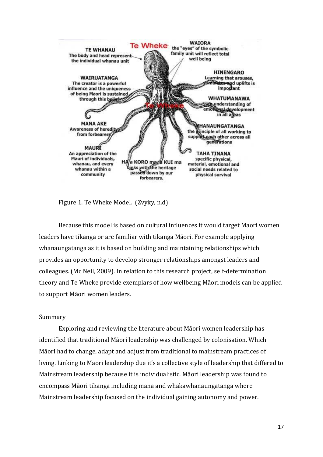

Figure 1. Te Wheke Model. (Zvyky, n.d)

Because this model is based on cultural influences it would target Maori women leaders have tikanga or are familiar with tikanga Māori. For example applying whanaungatanga as it is based on building and maintaining relationships which provides an opportunity to develop stronger relationships amongst leaders and colleagues. (Mc Neil, 2009). In relation to this research project, self-determination theory and Te Wheke provide exemplars of how wellbeing Māori models can be applied to support Māori women leaders.

#### Summary

Exploring and reviewing the literature about Māori women leadership has identified that traditional Māori leadership was challenged by colonisation. Which Māori had to change, adapt and adjust from traditional to mainstream practices of living. Linking to Māori leadership due it's a collective style of leadership that differed to Mainstream leadership because it is individualistic. Māori leadership was found to encompass Māori tikanga including mana and whakawhanaungatanga where Mainstream leadership focused on the individual gaining autonomy and power.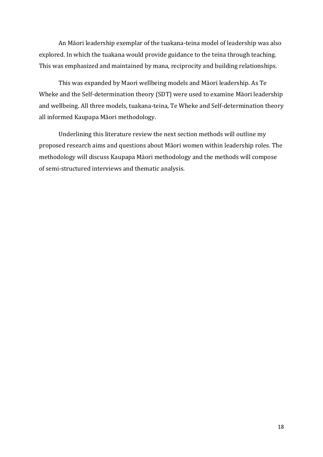An Māori leadership exemplar of the tuakana-teina model of leadership was also explored. In which the tuakana would provide guidance to the teina through teaching. This was emphasized and maintained by mana, reciprocity and building relationships.

This was expanded by Maori wellbeing models and Māori leadership. As Te Wheke and the Self-determination theory (SDT) were used to examine Māori leadership and wellbeing. All three models, tuakana-teina, Te Wheke and Self-determination theory all informed Kaupapa Māori methodology.

Underlining this literature review the next section methods will outline my proposed research aims and questions about Māori women within leadership roles. The methodology will discuss Kaupapa Māori methodology and the methods will compose of semi-structured interviews and thematic analysis.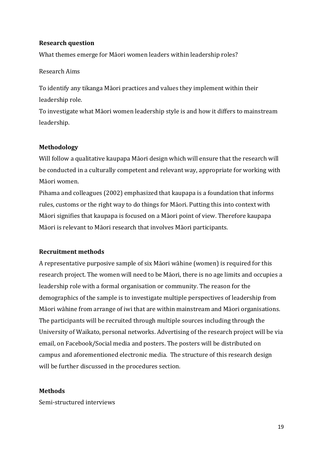## <span id="page-19-0"></span>**Research question**

What themes emerge for Māori women leaders within leadership roles?

## Research Aims

To identify any tikanga Māori practices and values they implement within their leadership role.

To investigate what Māori women leadership style is and how it differs to mainstream leadership.

## <span id="page-19-1"></span>**Methodology**

Will follow a qualitative kaupapa Māori design which will ensure that the research will be conducted in a culturally competent and relevant way, appropriate for working with Māori women.

Pihama and colleagues (2002) emphasized that kaupapa is a foundation that informs rules, customs or the right way to do things for Māori. Putting this into context with Māori signifies that kaupapa is focused on a Māori point of view. Therefore kaupapa Māori is relevant to Māori research that involves Māori participants.

## <span id="page-19-2"></span>**Recruitment methods**

A representative purposive sample of six Māori wāhine (women) is required for this research project. The women will need to be Māori, there is no age limits and occupies a leadership role with a formal organisation or community. The reason for the demographics of the sample is to investigate multiple perspectives of leadership from Māori wāhine from arrange of iwi that are within mainstream and Māori organisations. The participants will be recruited through multiple sources including through the University of Waikato, personal networks. Advertising of the research project will be via email, on Facebook/Social media and posters. The posters will be distributed on campus and aforementioned electronic media. The structure of this research design will be further discussed in the procedures section.

## <span id="page-19-3"></span>**Methods**

Semi-structured interviews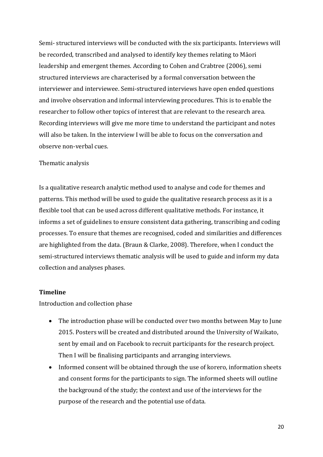Semi- structured interviews will be conducted with the six participants. Interviews will be recorded, transcribed and analysed to identify key themes relating to Māori leadership and emergent themes. According to Cohen and Crabtree (2006), semi structured interviews are characterised by a formal conversation between the interviewer and interviewee. Semi-structured interviews have open ended questions and involve observation and informal interviewing procedures. This is to enable the researcher to follow other topics of interest that are relevant to the research area. Recording interviews will give me more time to understand the participant and notes will also be taken. In the interview I will be able to focus on the conversation and observe non-verbal cues.

#### Thematic analysis

Is a qualitative research analytic method used to analyse and code for themes and patterns. This method will be used to guide the qualitative research process as it is a flexible tool that can be used across different qualitative methods. For instance, it informs a set of guidelines to ensure consistent data gathering, transcribing and coding processes. To ensure that themes are recognised, coded and similarities and differences are highlighted from the data. (Braun & Clarke, 2008). Therefore, when I conduct the semi-structured interviews thematic analysis will be used to guide and inform my data collection and analyses phases.

#### <span id="page-20-0"></span>**Timeline**

Introduction and collection phase

- The introduction phase will be conducted over two months between May to June 2015. Posters will be created and distributed around the University of Waikato, sent by email and on Facebook to recruit participants for the research project. Then I will be finalising participants and arranging interviews.
- Informed consent will be obtained through the use of korero, information sheets and consent forms for the participants to sign. The informed sheets will outline the background of the study; the context and use of the interviews for the purpose of the research and the potential use of data.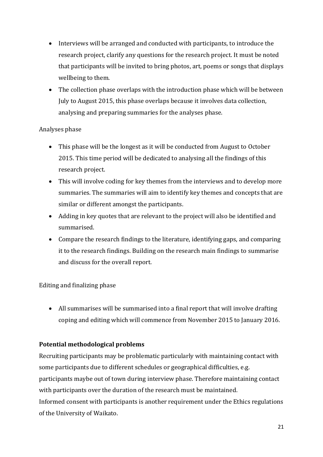- Interviews will be arranged and conducted with participants, to introduce the research project, clarify any questions for the research project. It must be noted that participants will be invited to bring photos, art, poems or songs that displays wellbeing to them.
- The collection phase overlaps with the introduction phase which will be between July to August 2015, this phase overlaps because it involves data collection, analysing and preparing summaries for the analyses phase.

## Analyses phase

- This phase will be the longest as it will be conducted from August to October 2015. This time period will be dedicated to analysing all the findings of this research project.
- This will involve coding for key themes from the interviews and to develop more summaries. The summaries will aim to identify key themes and concepts that are similar or different amongst the participants.
- Adding in key quotes that are relevant to the project will also be identified and summarised.
- Compare the research findings to the literature, identifying gaps, and comparing it to the research findings. Building on the research main findings to summarise and discuss for the overall report.

# Editing and finalizing phase

 All summarises will be summarised into a final report that will involve drafting coping and editing which will commence from November 2015 to January 2016.

# <span id="page-21-0"></span>**Potential methodological problems**

Recruiting participants may be problematic particularly with maintaining contact with some participants due to different schedules or geographical difficulties, e.g. participants maybe out of town during interview phase. Therefore maintaining contact with participants over the duration of the research must be maintained. Informed consent with participants is another requirement under the Ethics regulations of the University of Waikato.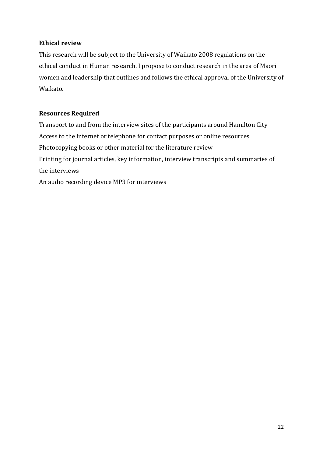## <span id="page-22-0"></span>**Ethical review**

This research will be subject to the University of Waikato 2008 regulations on the ethical conduct in Human research. I propose to conduct research in the area of Māori women and leadership that outlines and follows the ethical approval of the University of Waikato.

# <span id="page-22-1"></span>**Resources Required**

Transport to and from the interview sites of the participants around Hamilton City Access to the internet or telephone for contact purposes or online resources Photocopying books or other material for the literature review Printing for journal articles, key information, interview transcripts and summaries of the interviews

An audio recording device MP3 for interviews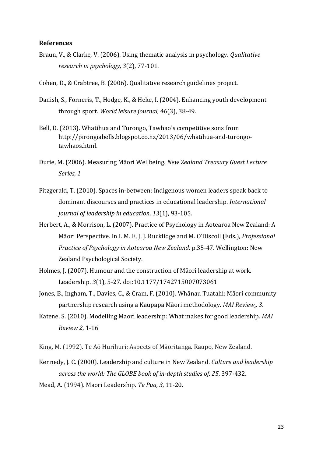#### <span id="page-23-0"></span>**References**

- Braun, V., & Clarke, V. (2006). Using thematic analysis in psychology. *Qualitative research in psychology, 3*(2), 77-101.
- Cohen, D., & Crabtree, B. (2006). Qualitative research guidelines project.
- Danish, S., Forneris, T., Hodge, K., & Heke, I. (2004). Enhancing youth development through sport. *World leisure journal, 46*(3), 38-49.
- Bell, D. (2013). Whatihua and Turongo, Tawhao's competitive sons from [http://pirongiabells.blogspot.co.nz/2013/06/whatihua-and-turongo](http://pirongiabells.blogspot.co.nz/2013/06/whatihua-and-turongo-tawhaos.html)[tawhaos.html.](http://pirongiabells.blogspot.co.nz/2013/06/whatihua-and-turongo-tawhaos.html)
- Durie, M. (2006). Measuring Māori Wellbeing. *New Zealand Treasury Guest Lecture Series, 1*
- Fitzgerald, T. (2010). Spaces in‐between: Indigenous women leaders speak back to dominant discourses and practices in educational leadership. *International journal of leadership in education, 13*(1), 93-105.
- Herbert, A., & Morrison, L. (2007). Practice of Psychology in Aotearoa New Zealand: A Māori Perspective. In I. M. E, J. J. Rucklidge and M. O'Discoll (Eds.), *Professional Practice of Psychology in Aotearoa New Zealand*. p.35-47. Wellington: New Zealand Psychological Society.
- Holmes, J. (2007). Humour and the construction of Māori leadership at work. Leadership. *3*(1), 5-27. doi:10.1177/1742715007073061
- Jones, B., Ingham, T., Davies, C., & Cram, F. (2010). Whānau Tuatahi: Māori community partnership research using a Kaupapa Māori methodology. *MAI Review,, 3*.
- Katene, S. (2010). Modelling Maori leadership: What makes for good leadership. *MAI Review 2*, 1-16

King, M. (1992). Te Aō Hurihuri: Aspects of Māoritanga. Raupo, New Zealand.

- Kennedy, J. C. (2000). Leadership and culture in New Zealand. *Culture and leadership across the world: The GLOBE book of in-depth studies of, 25*, 397-432.
- Mead, A. (1994). Maori Leadership. *Te Pua, 3*, 11-20.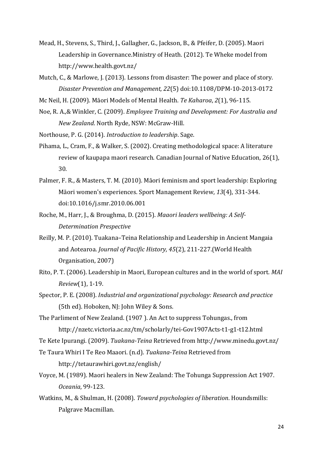- Mead, H., Stevens, S., Third, J., Gallagher, G., Jackson, B., & Pfeifer, D. (2005). Maori Leadership in Governance.Ministry of Heath. (2012). Te Wheke model from <http://www.health.govt.nz/>
- Mutch, C., & Marlowe, J. (2013). Lessons from disaster: The power and place of story. *Disaster Prevention and Management, 22*(5) doi:10.1108/DPM-10-2013-0172
- Mc Neil, H. (2009). Māori Models of Mental Health. *Te Kaharoa*, *2*(1), 96-115.
- Noe, R. A.,& Winkler, C. (2009). *Employee Training and Development: For Australia and New Zealand*. North Ryde, NSW: McGraw-Hill.

Northouse, P. G. (2014). *Introduction to leadership*. Sage.

- Pihama, L., Cram, F., & Walker, S. (2002). Creating methodological space: A literature review of kaupapa maori research. Canadian Journal of Native Education, 26(1), 30.
- Palmer, F. R., & Masters, T. M. (2010). Māori feminism and sport leadership: Exploring Māori women's experiences. Sport Management Review, *13*(4), 331-344. doi:10.1016/j.smr.2010.06.001
- Roche, M., Harr, J., & Broughma, D. (2015). *Maaori leaders wellbeing: A Self-Determination Prespective*
- Reilly, M. P. (2010). Tuakana–Teina Relationship and Leadership in Ancient Mangaia and Aotearoa. *Journal of Pacific History, 45*(2), 211-227.(World Health Organisation, 2007)
- Rito, P. T. (2006). Leadership in Maori, European cultures and in the world of sport. *MAI Review*(1), 1-19.
- Spector, P. E. (2008). *Industrial and organizational psychology: Research and practice* (5th ed). Hoboken, NJ: John Wiley & Sons.
- The Parliment of New Zealand. (1907 ). An Act to suppress Tohungas., from <http://nzetc.victoria.ac.nz/tm/scholarly/tei-Gov1907Acts-t1-g1-t12.html>
- Te Kete Ipurangi. (2009). *Tuakana-Teina* Retrieved from<http://www.minedu.govt.nz/>
- Te Taura Whiri I Te Reo Maaori. (n.d). *Tuakana-Teina* Retrieved from <http://tetaurawhiri.govt.nz/english/>
- Voyce, M. (1989). Maori healers in New Zealand: The Tohunga Suppression Act 1907. *Oceania*, 99-123.
- Watkins, M., & Shulman, H. (2008). *Toward psychologies of liberation*. Houndsmills: Palgrave Macmillan.